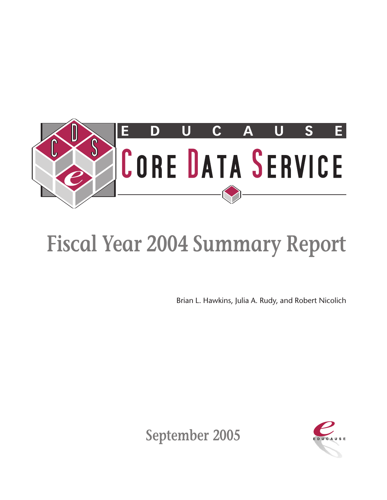

## **Fiscal Year 2004 Summary Report**

Brian L. Hawkins, Julia A. Rudy, and Robert Nicolich



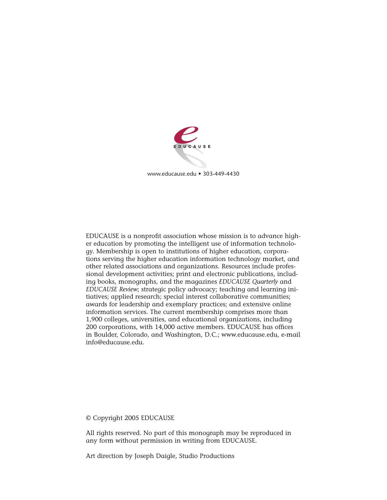

www.educause.edu • 303-449-4430

EDUCAUSE is a nonprofit association whose mission is to advance higher education by promoting the intelligent use of information technology. Membership is open to institutions of higher education, corporations serving the higher education information technology market, and other related associations and organizations. Resources include professional development activities; print and electronic publications, including books, monographs, and the magazines *EDUCAUSE Quarterly* and *EDUCAUSE Review*; strategic policy advocacy; teaching and learning initiatives; applied research; special interest collaborative communities; awards for leadership and exemplary practices; and extensive online information services. The current membership comprises more than 1,900 colleges, universities, and educational organizations, including 200 corporations, with 14,000 active members. EDUCAUSE has offices in Boulder, Colorado, and Washington, D.C.; www.educause.edu, e-mail info@educause.edu.

© Copyright 2005 EDUCAUSE

All rights reserved. No part of this monograph may be reproduced in any form without permission in writing from EDUCAUSE.

Art direction by Joseph Daigle, Studio Productions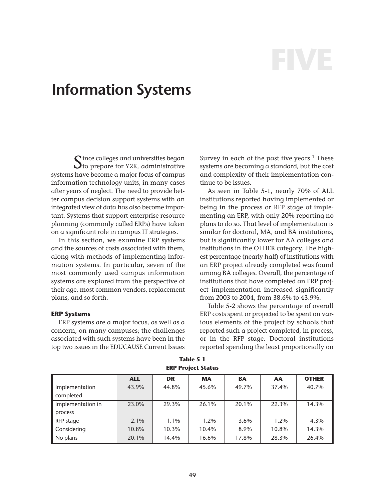# **FIVE**

### **Information Systems**

Since colleges and universities began<br>Sto prepare for Y2K, administrative systems have become a major focus of campus information technology units, in many cases after years of neglect. The need to provide better campus decision support systems with an integrated view of data has also become important. Systems that support enterprise resource planning (commonly called ERPs) have taken on a significant role in campus IT strategies.

In this section, we examine ERP systems and the sources of costs associated with them, along with methods of implementing information systems. In particular, seven of the most commonly used campus information systems are explored from the perspective of their age, most common vendors, replacement plans, and so forth.

#### **ERP Systems**

ERP systems are a major focus, as well as a concern, on many campuses; the challenges associated with such systems have been in the top two issues in the EDUCAUSE Current Issues

Survey in each of the past five years.<sup>1</sup> These systems are becoming a standard, but the cost and complexity of their implementation continue to be issues.

As seen in Table 5-1, nearly 70% of ALL institutions reported having implemented or being in the process or RFP stage of implementing an ERP, with only 20% reporting no plans to do so. That level of implementation is similar for doctoral, MA, and BA institutions, but is significantly lower for AA colleges and institutions in the OTHER category. The highest percentage (nearly half) of institutions with an ERP project already completed was found among BA colleges. Overall, the percentage of institutions that have completed an ERP project implementation increased significantly from 2003 to 2004, from 38.6% to 43.9%.

Table 5-2 shows the percentage of overall ERP costs spent or projected to be spent on various elements of the project by schools that reported such a project completed, in process, or in the RFP stage. Doctoral institutions reported spending the least proportionally on

|                   | <b>ALL</b> | <b>DR</b> | <b>MA</b> | <b>BA</b> | AA    | <b>OTHER</b> |
|-------------------|------------|-----------|-----------|-----------|-------|--------------|
| Implementation    | 43.9%      | 44.8%     | 45.6%     | 49.7%     | 37.4% | 40.7%        |
| completed         |            |           |           |           |       |              |
| Implementation in | 23.0%      | 29.3%     | 26.1%     | 20.1%     | 22.3% | 14.3%        |
| process           |            |           |           |           |       |              |
| RFP stage         | 2.1%       | 1.1%      | 1.2%      | $3.6\%$   | 1.2%  | 4.3%         |
| Considering       | 10.8%      | 10.3%     | 10.4%     | 8.9%      | 10.8% | 14.3%        |
| No plans          | 20.1%      | 14.4%     | 16.6%     | 17.8%     | 28.3% | 26.4%        |

**Table 5-1 ERP Project Status**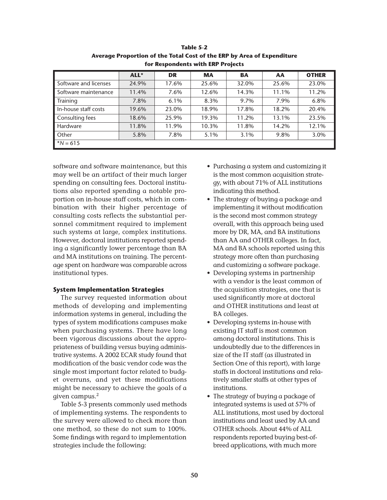|                       | ALL*  | <b>DR</b> | <b>MA</b> | BA    | AA    | <b>OTHER</b> |
|-----------------------|-------|-----------|-----------|-------|-------|--------------|
| Software and licenses | 24.9% | 17.6%     | 25.6%     | 32.0% | 25.6% | 23.0%        |
| Software maintenance  | 11.4% | 7.6%      | 12.6%     | 14.3% | 11.1% | 11.2%        |
| Training              | 7.8%  | 6.1%      | 8.3%      | 9.7%  | 7.9%  | 6.8%         |
| In-house staff costs  | 19.6% | 23.0%     | 18.9%     | 17.8% | 18.2% | 20.4%        |
| Consulting fees       | 18.6% | 25.9%     | 19.3%     | 11.2% | 13.1% | 23.5%        |
| Hardware              | 11.8% | 11.9%     | 10.3%     | 11.8% | 14.2% | 12.1%        |
| Other                 | 5.8%  | 7.8%      | 5.1%      | 3.1%  | 9.8%  | 3.0%         |
| $*N = 615$            |       |           |           |       |       |              |

**Table 5-2 Average Proportion of the Total Cost of the ERP by Area of Expenditure for Respondents with ERP Projects**

software and software maintenance, but this may well be an artifact of their much larger spending on consulting fees. Doctoral institutions also reported spending a notable proportion on in-house staff costs, which in combination with their higher percentage of consulting costs reflects the substantial personnel commitment required to implement such systems at large, complex institutions. However, doctoral institutions reported spending a significantly lower percentage than BA and MA institutions on training. The percentage spent on hardware was comparable across institutional types.

#### **System Implementation Strategies**

The survey requested information about methods of developing and implementing information systems in general, including the types of system modifications campuses make when purchasing systems. There have long been vigorous discussions about the appropriateness of building versus buying administrative systems. A 2002 ECAR study found that modification of the basic vendor code was the single most important factor related to budget overruns, and yet these modifications might be necessary to achieve the goals of a given campus.2

Table 5-3 presents commonly used methods of implementing systems. The respondents to the survey were allowed to check more than one method, so these do not sum to 100%. Some findings with regard to implementation strategies include the following:

- Purchasing a system and customizing it is the most common acquisition strategy, with about 71% of ALL institutions indicating this method.
- The strategy of buying a package and implementing it without modification is the second most common strategy overall, with this approach being used more by DR, MA, and BA institutions than AA and OTHER colleges. In fact, MA and BA schools reported using this strategy more often than purchasing and customizing a software package.
- Developing systems in partnership with a vendor is the least common of the acquisition strategies, one that is used significantly more at doctoral and OTHER institutions and least at BA colleges.
- Developing systems in-house with existing IT staff is most common among doctoral institutions. This is undoubtedly due to the differences in size of the IT staff (as illustrated in Section One of this report), with large staffs in doctoral institutions and relatively smaller staffs at other types of institutions.
- The strategy of buying a package of integrated systems is used at 57% of ALL institutions, most used by doctoral institutions and least used by AA and OTHER schools. About 44% of ALL respondents reported buying best-ofbreed applications, with much more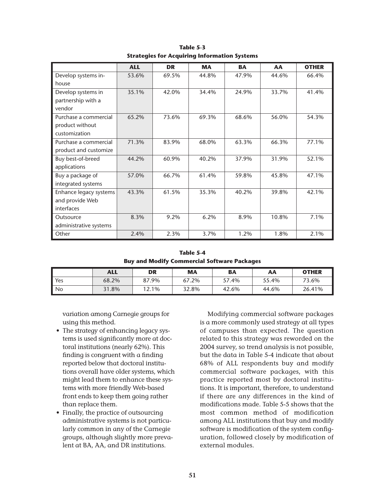|                        | <b>ALL</b> | <b>DR</b> | <b>MA</b> | <b>BA</b> | AA    | <b>OTHER</b> |
|------------------------|------------|-----------|-----------|-----------|-------|--------------|
| Develop systems in-    | 53.6%      | 69.5%     | 44.8%     | 47.9%     | 44.6% | 66.4%        |
| house                  |            |           |           |           |       |              |
| Develop systems in     | 35.1%      | 42.0%     | 34.4%     | 24.9%     | 33.7% | 41.4%        |
| partnership with a     |            |           |           |           |       |              |
| vendor                 |            |           |           |           |       |              |
| Purchase a commercial  | 65.2%      | 73.6%     | 69.3%     | 68.6%     | 56.0% | 54.3%        |
| product without        |            |           |           |           |       |              |
| customization          |            |           |           |           |       |              |
| Purchase a commercial  | 71.3%      | 83.9%     | 68.0%     | 63.3%     | 66.3% | 77.1%        |
| product and customize  |            |           |           |           |       |              |
| Buy best-of-breed      | 44.2%      | 60.9%     | 40.2%     | 37.9%     | 31.9% | 52.1%        |
| applications           |            |           |           |           |       |              |
| Buy a package of       | 57.0%      | 66.7%     | 61.4%     | 59.8%     | 45.8% | 47.1%        |
| integrated systems     |            |           |           |           |       |              |
| Enhance legacy systems | 43.3%      | 61.5%     | 35.3%     | 40.2%     | 39.8% | 42.1%        |
| and provide Web        |            |           |           |           |       |              |
| interfaces             |            |           |           |           |       |              |
| Outsource              | 8.3%       | 9.2%      | 6.2%      | 8.9%      | 10.8% | 7.1%         |
| administrative systems |            |           |           |           |       |              |
| Other                  | 2.4%       | 2.3%      | 3.7%      | 1.2%      | 1.8%  | 2.1%         |

**Table 5-3 Strategies for Acquiring Information Systems**

**Table 5-4 Buy and Modify Commercial Software Packages**

|                | <b>ALL</b> | DR    | МA    | <b>BA</b> | АΑ    | <b>OTHER</b> |
|----------------|------------|-------|-------|-----------|-------|--------------|
| $\mathsf{Yes}$ | 68.2%      | 87.9% | 67.2% | 57.4%     | 55.4% | 73.6%        |
| $\parallel$ No | 31.8%      | 12.1% | 32.8% | 42.6%     | 44.6% | 26.41%       |

variation among Carnegie groups for using this method.

- The strategy of enhancing legacy systems is used significantly more at doctoral institutions (nearly 62%). This finding is congruent with a finding reported below that doctoral institutions overall have older systems, which might lead them to enhance these systems with more friendly Web-based front ends to keep them going rather than replace them.
- Finally, the practice of outsourcing administrative systems is not particularly common in any of the Carnegie groups, although slightly more prevalent at BA, AA, and DR institutions.

Modifying commercial software packages is a more commonly used strategy at all types of campuses than expected. The question related to this strategy was reworded on the 2004 survey, so trend analysis is not possible, but the data in Table 5-4 indicate that about 68% of ALL respondents buy and modify commercial software packages, with this practice reported most by doctoral institutions. It is important, therefore, to understand if there are any differences in the kind of modifications made. Table 5-5 shows that the most common method of modification among ALL institutions that buy and modify software is modification of the system configuration, followed closely by modification of external modules.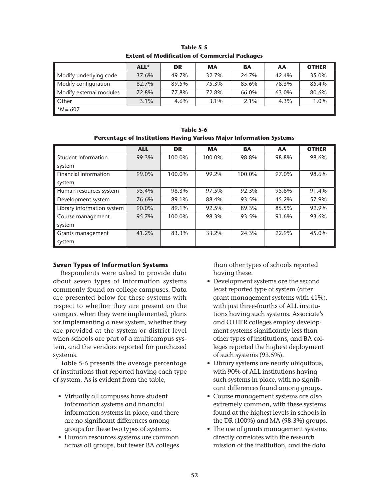|                         | ALL*    | <b>DR</b> | <b>MA</b> | <b>BA</b> | AA    | <b>OTHER</b> |
|-------------------------|---------|-----------|-----------|-----------|-------|--------------|
| Modify underlying code  | 37.6%   | 49.7%     | 32.7%     | 24.7%     | 42.4% | 35.0%        |
| Modify configuration    | 82.7%   | 89.5%     | 75.3%     | 85.6%     | 78.3% | 85.4%        |
| Modify external modules | 72.8%   | 77.8%     | 72.8%     | 66.0%     | 63.0% | 80.6%        |
| Other                   | $3.1\%$ | 4.6%      | 3.1%      | $2.1\%$   | 4.3%  | 1.0%         |
| $^*N = 607$             |         |           |           |           |       |              |

**Table 5-5 Extent of Modification of Commercial Packages**

| Table 5-6                                                           |  |
|---------------------------------------------------------------------|--|
| Percentage of Institutions Having Various Major Information Systems |  |

|                            | <b>ALL</b> | <b>DR</b> | <b>MA</b> | <b>BA</b> | AA    | <b>OTHER</b> |
|----------------------------|------------|-----------|-----------|-----------|-------|--------------|
| Student information        | 99.3%      | 100.0%    | 100.0%    | 98.8%     | 98.8% | 98.6%        |
| system                     |            |           |           |           |       |              |
| Financial information      | 99.0%      | 100.0%    | 99.2%     | 100.0%    | 97.0% | 98.6%        |
| system                     |            |           |           |           |       |              |
| Human resources system     | 95.4%      | 98.3%     | 97.5%     | 92.3%     | 95.8% | 91.4%        |
| Development system         | 76.6%      | 89.1%     | 88.4%     | 93.5%     | 45.2% | 57.9%        |
| Library information system | 90.0%      | 89.1%     | 92.5%     | 89.3%     | 85.5% | 92.9%        |
| Course management          | 95.7%      | 100.0%    | 98.3%     | 93.5%     | 91.6% | 93.6%        |
| system                     |            |           |           |           |       |              |
| Grants management          | 41.2%      | 83.3%     | 33.2%     | 24.3%     | 22.9% | 45.0%        |
| system                     |            |           |           |           |       |              |

#### **Seven Types of Information Systems**

Respondents were asked to provide data about seven types of information systems commonly found on college campuses. Data are presented below for these systems with respect to whether they are present on the campus, when they were implemented, plans for implementing a new system, whether they are provided at the system or district level when schools are part of a multicampus system, and the vendors reported for purchased systems.

Table 5-6 presents the average percentage of institutions that reported having each type of system. As is evident from the table,

- Virtually all campuses have student information systems and financial information systems in place, and there are no significant differences among groups for these two types of systems.
- Human resources systems are common across all groups, but fewer BA colleges

than other types of schools reported having these.

- Development systems are the second least reported type of system (after grant management systems with 41%), with just three-fourths of ALL institutions having such systems. Associate's and OTHER colleges employ development systems significantly less than other types of institutions, and BA colleges reported the highest deployment of such systems (93.5%).
- Library systems are nearly ubiquitous, with 90% of ALL institutions having such systems in place, with no significant differences found among groups.
- Course management systems are also extremely common, with these systems found at the highest levels in schools in the DR (100%) and MA (98.3%) groups.
- The use of grants management systems directly correlates with the research mission of the institution, and the data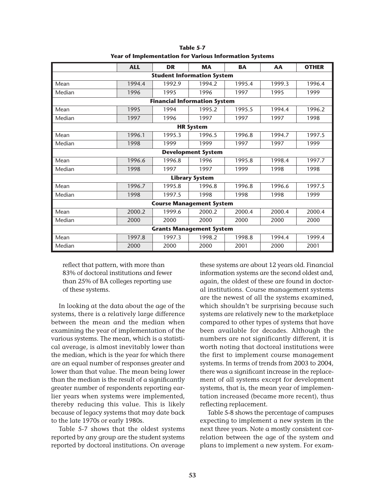|                           | <b>ALL</b> | <b>DR</b>                           | <b>MA</b>             | <b>BA</b> | AA     | <b>OTHER</b> |  |
|---------------------------|------------|-------------------------------------|-----------------------|-----------|--------|--------------|--|
|                           |            | <b>Student Information System</b>   |                       |           |        |              |  |
| Mean                      | 1994.4     | 1992.9                              | 1994.2                | 1995.4    | 1999.3 | 1996.4       |  |
| Median                    | 1996       | 1995                                | 1996                  | 1997      | 1995   | 1999         |  |
|                           |            | <b>Financial Information System</b> |                       |           |        |              |  |
| Mean                      | 1995       | 1994                                | 1995.2                | 1995.5    | 1994.4 | 1996.2       |  |
| Median                    | 1997       | 1996                                | 1997                  | 1997      | 1997   | 1998         |  |
| <b>HR System</b>          |            |                                     |                       |           |        |              |  |
| Mean                      | 1996.1     | 1995.3                              | 1996.5                | 1996.8    | 1994.7 | 1997.5       |  |
| Median                    | 1998       | 1999                                | 1999                  | 1997      | 1997   | 1999         |  |
| <b>Development System</b> |            |                                     |                       |           |        |              |  |
| Mean                      | 1996.6     | 1996.8                              | 1996                  | 1995.8    | 1998.4 | 1997.7       |  |
| Median                    | 1998       | 1997                                | 1997                  | 1999      | 1998   | 1998         |  |
|                           |            |                                     | <b>Library System</b> |           |        |              |  |
| Mean                      | 1996.7     | 1995.8                              | 1996.8                | 1996.8    | 1996.6 | 1997.5       |  |
| Median                    | 1998       | 1997.5                              | 1998                  | 1998      | 1998   | 1999         |  |
|                           |            | <b>Course Management System</b>     |                       |           |        |              |  |
| Mean                      | 2000.2     | 1999.6                              | 2000.2                | 2000.4    | 2000.4 | 2000.4       |  |
| Median                    | 2000       | 2000                                | 2000                  | 2000      | 2000   | 2000         |  |
|                           |            | <b>Grants Management System</b>     |                       |           |        |              |  |
| Mean                      | 1997.8     | 1997.3                              | 1998.2                | 1998.8    | 1994.4 | 1999.4       |  |
| Median                    | 2000       | 2000                                | 2000                  | 2001      | 2000   | 2001         |  |

**Table 5-7 Year of Implementation for Various Information Systems**

reflect that pattern, with more than 83% of doctoral institutions and fewer than 25% of BA colleges reporting use of these systems.

In looking at the data about the age of the systems, there is a relatively large difference between the mean and the median when examining the year of implementation of the various systems. The mean, which is a statistical average, is almost inevitably lower than the median, which is the year for which there are an equal number of responses greater and lower than that value. The mean being lower than the median is the result of a significantly greater number of respondents reporting earlier years when systems were implemented, thereby reducing this value. This is likely because of legacy systems that may date back to the late 1970s or early 1980s.

Table 5-7 shows that the oldest systems reported by any group are the student systems reported by doctoral institutions. On average these systems are about 12 years old. Financial information systems are the second oldest and, again, the oldest of these are found in doctoral institutions. Course management systems are the newest of all the systems examined, which shouldn't be surprising because such systems are relatively new to the marketplace compared to other types of systems that have been available for decades. Although the numbers are not significantly different, it is worth noting that doctoral institutions were the first to implement course management systems. In terms of trends from 2003 to 2004, there was a significant increase in the replacement of all systems except for development systems, that is, the mean year of implementation increased (became more recent), thus reflecting replacement.

Table 5-8 shows the percentage of campuses expecting to implement a new system in the next three years. Note a mostly consistent correlation between the age of the system and plans to implement a new system. For exam-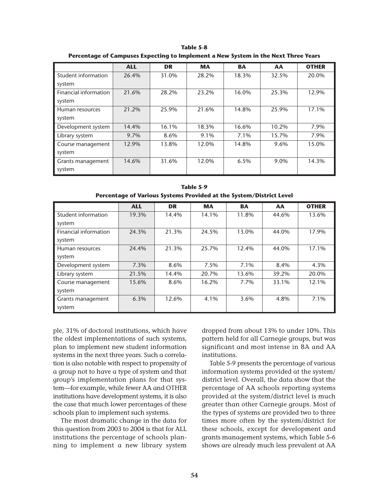|                       | <b>ALL</b> | <b>DR</b> | <b>MA</b> | <b>BA</b> | AA    | <b>OTHER</b> |
|-----------------------|------------|-----------|-----------|-----------|-------|--------------|
| Student information   | 26.4%      | 31.0%     | 28.2%     | 18.3%     | 32.5% | 20.0%        |
| system                |            |           |           |           |       |              |
| Financial information | 21.6%      | 28.2%     | 23.2%     | 16.0%     | 25.3% | 12.9%        |
| system                |            |           |           |           |       |              |
| Human resources       | 21.2%      | 25.9%     | 21.6%     | 14.8%     | 25.9% | 17.1%        |
| system                |            |           |           |           |       |              |
| Development system    | 14.4%      | 16.1%     | 18.3%     | 16.6%     | 10.2% | 7.9%         |
| Library system        | 9.7%       | 8.6%      | 9.1%      | 7.1%      | 15.7% | 7.9%         |
| Course management     | 12.9%      | 13.8%     | 12.0%     | 14.8%     | 9.6%  | 15.0%        |
| system                |            |           |           |           |       |              |
| Grants management     | 14.6%      | 31.6%     | 12.0%     | 6.5%      | 9.0%  | 14.3%        |
| system                |            |           |           |           |       |              |

**Table 5-8 Percentage of Campuses Expecting to Implement a New System in the Next Three Years**

|                       | <b>ALL</b> | <b>DR</b> | <b>MA</b> | <b>BA</b> | AA    | <b>OTHER</b> |
|-----------------------|------------|-----------|-----------|-----------|-------|--------------|
| Student information   | 19.3%      | 14.4%     | 14.1%     | 11.8%     | 44.6% | 13.6%        |
| system                |            |           |           |           |       |              |
| Financial information | 24.3%      | 21.3%     | 24.5%     | 13.0%     | 44.0% | 17.9%        |
| system                |            |           |           |           |       |              |
| Human resources       | 24.4%      | 21.3%     | 25.7%     | 12.4%     | 44.0% | 17.1%        |
| system                |            |           |           |           |       |              |
| Development system    | 7.3%       | 8.6%      | 7.5%      | 7.1%      | 8.4%  | 4.3%         |
| Library system        | 21.5%      | 14.4%     | 20.7%     | 13.6%     | 39.2% | 20.0%        |
| Course management     | 15.6%      | 8.6%      | 16.2%     | 7.7%      | 33.1% | 12.1%        |
| system                |            |           |           |           |       |              |
| Grants management     | 6.3%       | 12.6%     | 4.1%      | 3.6%      | 4.8%  | 7.1%         |
| system                |            |           |           |           |       |              |

**Table 5-9 Percentage of Various Systems Provided at the System/District Level**

ple, 31% of doctoral institutions, which have the oldest implementations of such systems, plan to implement new student information systems in the next three years. Such a correlation is also notable with respect to propensity of a group not to have a type of system and that group's implementation plans for that system—for example, while fewer AA and OTHER institutions have development systems, it is also the case that much lower percentages of these schools plan to implement such systems.

The most dramatic change in the data for this question from 2003 to 2004 is that for ALL institutions the percentage of schools planning to implement a new library system

dropped from about 13% to under 10%. This pattern held for all Carnegie groups, but was significant and most intense in BA and AA institutions.

Table 5-9 presents the percentage of various information systems provided at the system/ district level. Overall, the data show that the percentage of AA schools reporting systems provided at the system/district level is much greater than other Carnegie groups. Most of the types of systems are provided two to three times more often by the system/district for these schools, except for development and grants management systems, which Table 5-6 shows are already much less prevalent at AA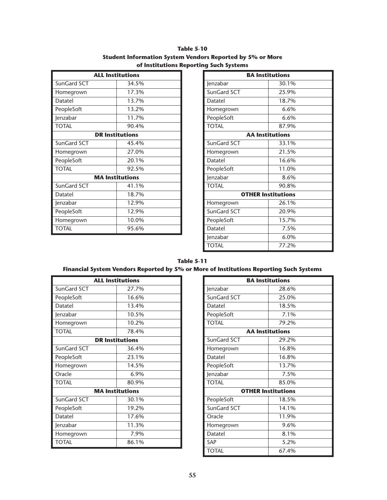| <b>Table 5-10</b>                                         |
|-----------------------------------------------------------|
| Student Information System Vendors Reported by 5% or More |
| of Institutions Reporting Such Systems                    |

|              | <b>ALL Institutions</b> |
|--------------|-------------------------|
| SunGard SCT  | 34.5%                   |
| Homegrown    | 17.3%                   |
| Datatel      | 13.7%                   |
| PeopleSoft   | 13.2%                   |
| Jenzabar     | 11.7%                   |
| <b>TOTAL</b> | 90.4%                   |
|              | <b>DR Institutions</b>  |
| SunGard SCT  | 45.4%                   |
| Homegrown    | 27.0%                   |
| PeopleSoft   | 20.1%                   |
| <b>TOTAL</b> | 92.5%                   |
|              | <b>MA Institutions</b>  |
| SunGard SCT  | 41.1%                   |
| Datatel      | 18.7%                   |
| Jenzabar     | 12.9%                   |
| PeopleSoft   | 12.9%                   |
| Homegrown    | 10.0%                   |
| <b>TOTAL</b> | 95.6%                   |

| <b>BA Institutions</b>    |         |  |
|---------------------------|---------|--|
| Jenzabar                  | 30.1%   |  |
| SunGard SCT               | 25.9%   |  |
| Datatel                   | 18.7%   |  |
| Homegrown                 | 6.6%    |  |
| PeopleSoft                | 6.6%    |  |
| <b>TOTAL</b>              | 87.9%   |  |
| <b>AA Institutions</b>    |         |  |
| SunGard SCT               | 33.1%   |  |
| Homegrown                 | 21.5%   |  |
| Datatel                   | 16.6%   |  |
| PeopleSoft                | 11.0%   |  |
| Jenzabar                  | 8.6%    |  |
| <b>TOTAL</b>              | 90.8%   |  |
| <b>OTHER Institutions</b> |         |  |
| Homegrown                 | 26.1%   |  |
| SunGard SCT               | 20.9%   |  |
| PeopleSoft                | 15.7%   |  |
| Datatel                   | 7.5%    |  |
| Jenzabar                  | $6.0\%$ |  |
| <b>TOTAL</b>              | 77.2%   |  |

#### **Table 5-11 Financial System Vendors Reported by 5% or More of Institutions Reporting Such Systems**

| <b>ALL Institutions</b> |       |  |
|-------------------------|-------|--|
| SunGard SCT             | 27.7% |  |
| PeopleSoft              | 16.6% |  |
| Datatel                 | 13.4% |  |
| Jenzabar                | 10.5% |  |
| Homegrown               | 10.2% |  |
| <b>TOTAL</b>            | 78.4% |  |
| <b>DR Institutions</b>  |       |  |
| SunGard SCT             | 36.4% |  |
| PeopleSoft              | 23.1% |  |
| Homegrown               | 14.5% |  |
| Oracle                  | 6.9%  |  |
| <b>TOTAL</b>            | 80.9% |  |
| <b>MA Institutions</b>  |       |  |
| SunGard SCT             | 30.1% |  |
| PeopleSoft              | 19.2% |  |
| Datatel                 | 17.6% |  |
| Jenzabar                | 11.3% |  |
| Homegrown               | 7.9%  |  |
| <b>TOTAL</b>            | 86.1% |  |

| <b>BA Institutions</b>    |                        |  |
|---------------------------|------------------------|--|
| Jenzabar                  | 28.6%                  |  |
| SunGard SCT               | 25.0%                  |  |
| Datatel                   | 18.5%                  |  |
| PeopleSoft                | 7.1%                   |  |
| <b>TOTAL</b>              | 79.2%                  |  |
|                           | <b>AA</b> Institutions |  |
| SunGard SCT               | 29.2%                  |  |
| Homegrown                 | 16.8%                  |  |
| Datatel                   | 16.8%                  |  |
| PeopleSoft                | 13.7%                  |  |
| Jenzabar                  | 7.5%                   |  |
| <b>TOTAL</b>              | 85.0%                  |  |
| <b>OTHER Institutions</b> |                        |  |
| PeopleSoft                | 18.5%                  |  |
| SunGard SCT               | 14.1%                  |  |
| Oracle                    | 11.9%                  |  |
| Homegrown                 | 9.6%                   |  |
| Datatel                   | 8.1%                   |  |
| SAP                       | 5.2%                   |  |
| <b>TOTAL</b>              | 67.4%                  |  |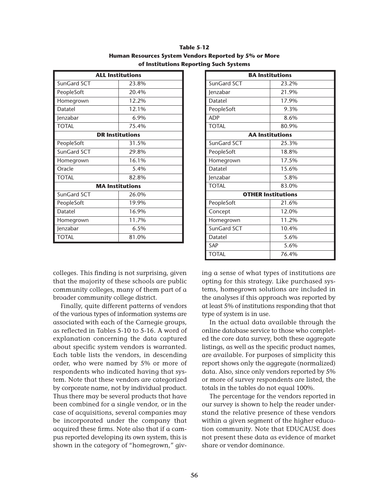| <b>ALL Institutions</b> |       |  |
|-------------------------|-------|--|
| SunGard SCT             | 23.8% |  |
| PeopleSoft              | 20.4% |  |
| Homegrown               | 12.2% |  |
| Datatel                 | 12.1% |  |
| Jenzabar                | 6.9%  |  |
| <b>TOTAL</b>            | 75.4% |  |
| <b>DR Institutions</b>  |       |  |
| PeopleSoft              | 31.5% |  |
| SunGard SCT             | 29.8% |  |
| Homegrown               | 16.1% |  |
| Oracle                  | 5.4%  |  |
| <b>TOTAL</b>            | 82.8% |  |
| <b>MA Institutions</b>  |       |  |
| SunGard SCT             | 26.0% |  |
| PeopleSoft              | 19.9% |  |
| Datatel                 | 16.9% |  |
| Homegrown               | 11.7% |  |
| Jenzabar                | 6.5%  |  |
| TOTAL                   | 81.0% |  |

**Table 5-12 Human Resources System Vendors Reported by 5% or More of Institutions Reporting Such Systems**

colleges. This finding is not surprising, given that the majority of these schools are public community colleges, many of them part of a broader community college district.

Finally, quite different patterns of vendors of the various types of information systems are associated with each of the Carnegie groups, as reflected in Tables 5-10 to 5-16. A word of explanation concerning the data captured about specific system vendors is warranted. Each table lists the vendors, in descending order, who were named by 5% or more of respondents who indicated having that system. Note that these vendors are categorized by corporate name, not by individual product. Thus there may be several products that have been combined for a single vendor, or in the case of acquisitions, several companies may be incorporated under the company that acquired these firms. Note also that if a campus reported developing its own system, this is shown in the category of "homegrown," giv-

| <b>BA Institutions</b>    |       |  |
|---------------------------|-------|--|
| SunGard SCT               | 23.2% |  |
| Jenzabar                  | 21.9% |  |
| Datatel                   | 17.9% |  |
| PeopleSoft                | 9.3%  |  |
| <b>ADP</b>                | 8.6%  |  |
| <b>TOTAL</b>              | 80.9% |  |
| <b>AA Institutions</b>    |       |  |
| SunGard SCT               | 25.3% |  |
| PeopleSoft                | 18.8% |  |
| Homegrown                 | 17.5% |  |
| Datatel                   | 15.6% |  |
| Jenzabar                  | 5.8%  |  |
| <b>TOTAL</b>              | 83.0% |  |
| <b>OTHER Institutions</b> |       |  |
| PeopleSoft                | 21.6% |  |
| Concept                   | 12.0% |  |
| Homegrown                 | 11.2% |  |
| SunGard SCT               | 10.4% |  |
| Datatel                   | 5.6%  |  |
| SAP                       | 5.6%  |  |
| <b>TOTAL</b>              | 76.4% |  |

ing a sense of what types of institutions are opting for this strategy. Like purchased systems, homegrown solutions are included in the analyses if this approach was reported by at least 5% of institutions responding that that type of system is in use.

In the actual data available through the online database service to those who completed the core data survey, both these aggregate listings, as well as the specific product names, are available. For purposes of simplicity this report shows only the aggregate (normalized) data. Also, since only vendors reported by 5% or more of survey respondents are listed, the totals in the tables do not equal 100%.

The percentage for the vendors reported in our survey is shown to help the reader understand the relative presence of these vendors within a given segment of the higher education community. Note that EDUCAUSE does not present these data as evidence of market share or vendor dominance.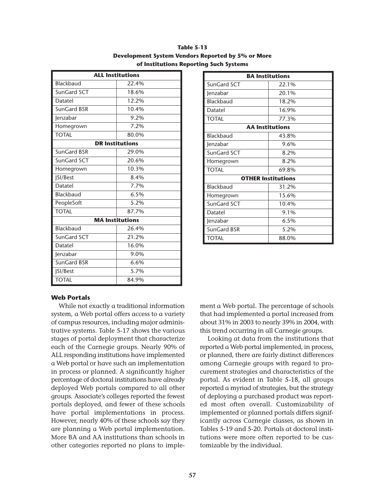| <b>ALL Institutions</b> |                        |  |
|-------------------------|------------------------|--|
| Blackbaud               | 22.4%                  |  |
| SunGard SCT             | 18.6%                  |  |
| Datatel                 | 12.2%                  |  |
| SunGard BSR             | 10.4%                  |  |
| Jenzabar                | 9.2%                   |  |
| Homegrown               | 7.2%                   |  |
| <b>TOTAL</b>            | 80.0%                  |  |
| <b>DR Institutions</b>  |                        |  |
| SunGard BSR             | 29.0%                  |  |
| SunGard SCT             | 20.6%                  |  |
| Homegrown               | 10.3%                  |  |
| <b>JSI/Best</b>         | 8.4%                   |  |
| Datatel                 | 7.7%                   |  |
| Blackbaud               | 6.5%                   |  |
| PeopleSoft              | 5.2%                   |  |
| <b>TOTAL</b>            | 87.7%                  |  |
|                         | <b>MA</b> Institutions |  |
| Blackbaud               | 26.4%                  |  |
| SunGard SCT             | 21.2%                  |  |
| Datatel                 | 16.0%                  |  |
| Jenzabar                | 9.0%                   |  |
| SunGard BSR             | 6.6%                   |  |
| <b>SI/Best</b>          | 5.7%                   |  |
| <b>TOTAL</b>            | 84.9%                  |  |

**Table 5-13 Development System Vendors Reported by 5% or More of Institutions Reporting Such Systems**

| <b>BA Institutions</b>    |       |  |
|---------------------------|-------|--|
| SunGard SCT               | 22.1% |  |
| Jenzabar                  | 20.1% |  |
| Blackbaud                 | 18.2% |  |
| Datatel                   | 16.9% |  |
| <b>TOTAL</b>              | 77.3% |  |
| <b>AA Institutions</b>    |       |  |
| Blackbaud                 | 43.8% |  |
| Jenzabar                  | 9.6%  |  |
| SunGard SCT               | 8.2%  |  |
| Homegrown                 | 8.2%  |  |
| <b>TOTAL</b>              | 69.8% |  |
| <b>OTHER Institutions</b> |       |  |
| Blackbaud                 | 31.2% |  |
| Homegrown                 | 15.6% |  |
| SunGard SCT               | 10.4% |  |
| Datatel                   | 9.1%  |  |
| Jenzabar                  | 6.5%  |  |
| SunGard BSR               | 5.2%  |  |
| TOTAL                     | 88.0% |  |

#### **Web Portals**

While not exactly a traditional information system, a Web portal offers access to a variety of campus resources, including major administrative systems. Table 5-17 shows the various stages of portal deployment that characterize each of the Carnegie groups. Nearly 90% of ALL responding institutions have implemented a Web portal or have such an implementation in process or planned. A significantly higher percentage of doctoral institutions have already deployed Web portals compared to all other groups. Associate's colleges reported the fewest portals deployed, and fewer of these schools have portal implementations in process. However, nearly 40% of these schools say they are planning a Web portal implementation. More BA and AA institutions than schools in other categories reported no plans to implement a Web portal. The percentage of schools that had implemented a portal increased from about 31% in 2003 to nearly 39% in 2004, with this trend occurring in all Carnegie groups.

Looking at data from the institutions that reported a Web portal implemented, in process, or planned, there are fairly distinct differences among Carnegie groups with regard to procurement strategies and characteristics of the portal. As evident in Table 5-18, all groups reported a myriad of strategies, but the strategy of deploying a purchased product was reported most often overall. Customizability of implemented or planned portals differs significantly across Carnegie classes, as shown in Tables 5-19 and 5-20. Portals at doctoral institutions were more often reported to be customizable by the individual.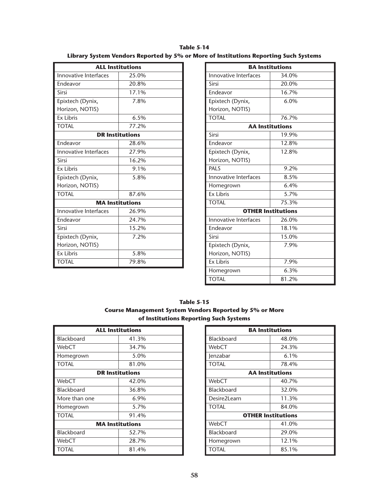**Table 5-14 Library System Vendors Reported by 5% or More of Institutions Reporting Such Systems**

| <b>ALL Institutions</b>      |                        |
|------------------------------|------------------------|
| Innovative Interfaces        | 25.0%                  |
| Endeavor                     | 20.8%                  |
| Sirsi                        | 17.1%                  |
| Epixtech (Dynix,             | 7.8%                   |
| Horizon, NOTIS)              |                        |
| <b>Ex Libris</b>             | 6.5%                   |
| <b>TOTAL</b>                 | 77.2%                  |
| <b>DR Institutions</b>       |                        |
| Endeavor                     | 28.6%                  |
| Innovative Interfaces        | 27.9%                  |
| Sirsi                        | $16.2\%$               |
| <b>Ex Libris</b>             | 9.1%                   |
| Epixtech (Dynix,             | 5.8%                   |
| Horizon, NOTIS)              |                        |
| <b>TOTAL</b>                 | 87.6%                  |
|                              | <b>MA Institutions</b> |
| <b>Innovative Interfaces</b> | 26.9%                  |
| Endeavor                     | 24.7%                  |
| Sirsi                        | 15.2%                  |
| Epixtech (Dynix,             | 7.2%                   |
| Horizon, NOTIS)              |                        |
| <b>Ex Libris</b>             | 5.8%                   |
| <b>TOTAL</b>                 | 79.8%                  |

|                              | <b>BA Institutions</b> |  |
|------------------------------|------------------------|--|
| <b>Innovative Interfaces</b> | 34.0%                  |  |
| Sirsi                        | 20.0%                  |  |
| Endeavor                     | 16.7%                  |  |
| Epixtech (Dynix,             | 6.0%                   |  |
| Horizon, NOTIS)              |                        |  |
| <b>TOTAL</b>                 | 76.7%                  |  |
| <b>AA Institutions</b>       |                        |  |
| Sirsi                        | 19.9%                  |  |
| Endeavor                     | 12.8%                  |  |
| Epixtech (Dynix,             | 12.8%                  |  |
| Horizon, NOTIS)              |                        |  |
| PALS                         | 9.2%                   |  |
| Innovative Interfaces        | 8.5%                   |  |
| Homegrown                    | 6.4%                   |  |
| <b>Ex Libris</b>             | 5.7%                   |  |
| <b>TOTAL</b>                 | 75.3%                  |  |
| <b>OTHER Institutions</b>    |                        |  |
| <b>Innovative Interfaces</b> | 26.0%                  |  |
| Endeavor                     | 18.1%                  |  |
| Sirsi                        | 15.0%                  |  |
| Epixtech (Dynix,             | 7.9%                   |  |
| Horizon, NOTIS)              |                        |  |
| <b>Ex Libris</b>             | 7.9%                   |  |
| Homegrown                    | 6.3%                   |  |
| <b>TOTAL</b>                 | 81.2%                  |  |

**Table 5-15 Course Management System Vendors Reported by 5% or More of Institutions Reporting Such Systems**

| <b>ALL Institutions</b> |       |  |
|-------------------------|-------|--|
| <b>Blackboard</b>       | 41.3% |  |
| WebCT                   | 34.7% |  |
| Homegrown               | 5.0%  |  |
| <b>TOTAL</b>            | 81.0% |  |
| <b>DR Institutions</b>  |       |  |
| WebCT                   | 42.0% |  |
| <b>Blackboard</b>       | 36.8% |  |
| More than one           | 6.9%  |  |
| Homegrown               | 5.7%  |  |
| <b>TOTAL</b>            | 91.4% |  |
| <b>MA Institutions</b>  |       |  |
| Blackboard              | 52.7% |  |
| WebCT                   | 28.7% |  |
| TOTAL                   | 81.4% |  |

| <b>BA Institutions</b> |                           |  |
|------------------------|---------------------------|--|
| Blackboard             | 48.0%                     |  |
| WebCT                  | 24.3%                     |  |
| lenzabar               | $6.1\%$                   |  |
| <b>TOTAL</b>           | 78.4%                     |  |
| <b>AA Institutions</b> |                           |  |
| WebCT                  | 40.7%                     |  |
| <b>Blackboard</b>      | 32.0%                     |  |
| Desire2Learn           | 11.3%                     |  |
| <b>TOTAL</b>           | 84.0%                     |  |
|                        | <b>OTHER Institutions</b> |  |
| WebCT                  | 41.0%                     |  |
| <b>Blackboard</b>      | 29.0%                     |  |
| Homegrown              | 12.1%                     |  |
| TOTAL                  | 85.1%                     |  |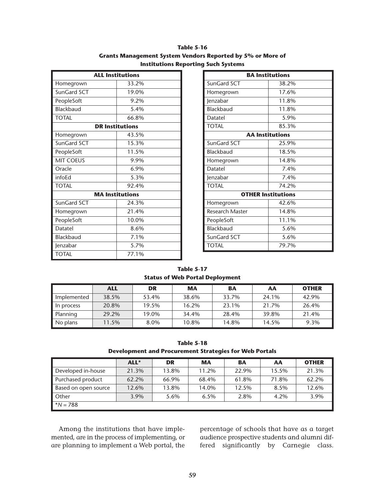| <b>Table 5-16</b>                                          |
|------------------------------------------------------------|
| Grants Management System Vendors Reported by 5% or More of |
| <b>Institutions Reporting Such Systems</b>                 |

| <b>ALL Institutions</b> |                        |  |  |  |  |
|-------------------------|------------------------|--|--|--|--|
| Homegrown               | 33.2%                  |  |  |  |  |
| SunGard SCT             | 19.0%                  |  |  |  |  |
| PeopleSoft              | 9.2%                   |  |  |  |  |
| Blackbaud               | 5.4%                   |  |  |  |  |
| <b>TOTAL</b>            | 66.8%                  |  |  |  |  |
|                         | <b>DR Institutions</b> |  |  |  |  |
| Homegrown               | 43.5%                  |  |  |  |  |
| SunGard SCT             | 15.3%                  |  |  |  |  |
| PeopleSoft              | 11.5%                  |  |  |  |  |
| <b>MIT COEUS</b>        | 9.9%                   |  |  |  |  |
| Oracle                  | 6.9%                   |  |  |  |  |
| infoEd                  | 5.3%                   |  |  |  |  |
| <b>TOTAL</b>            | 92.4%                  |  |  |  |  |
|                         | <b>MA Institutions</b> |  |  |  |  |
| SunGard SCT             | 24.3%                  |  |  |  |  |
| Homegrown               | 21.4%                  |  |  |  |  |
| PeopleSoft              | 10.0%                  |  |  |  |  |
| Datatel                 | 8.6%                   |  |  |  |  |
| Blackbaud               | 7.1%                   |  |  |  |  |
| Jenzabar                | 5.7%                   |  |  |  |  |
| <b>TOTAL</b>            | 77.1%                  |  |  |  |  |

| <b>BA Institutions</b> |                           |  |  |  |  |  |
|------------------------|---------------------------|--|--|--|--|--|
| SunGard SCT            | 38.2%                     |  |  |  |  |  |
| Homegrown              | 17.6%                     |  |  |  |  |  |
| Jenzabar               | 11.8%                     |  |  |  |  |  |
| Blackbaud              | 11.8%                     |  |  |  |  |  |
| Datatel                | 5.9%                      |  |  |  |  |  |
| <b>TOTAL</b>           | 85.3%                     |  |  |  |  |  |
| <b>AA Institutions</b> |                           |  |  |  |  |  |
| SunGard SCT            | 25.9%                     |  |  |  |  |  |
| <b>Blackbaud</b>       | 18.5%                     |  |  |  |  |  |
| Homegrown              | 14.8%                     |  |  |  |  |  |
| Datatel                | 7.4%                      |  |  |  |  |  |
| Jenzabar               | 7.4%                      |  |  |  |  |  |
| <b>TOTAL</b>           | 74.2%                     |  |  |  |  |  |
|                        | <b>OTHER Institutions</b> |  |  |  |  |  |
| Homegrown              | 42.6%                     |  |  |  |  |  |
| <b>Research Master</b> | 14.8%                     |  |  |  |  |  |
| PeopleSoft             | 11.1%                     |  |  |  |  |  |
| <b>Blackbaud</b>       | 5.6%                      |  |  |  |  |  |
| SunGard SCT            | 5.6%                      |  |  |  |  |  |
| <b>TOTAL</b>           | 79.7%                     |  |  |  |  |  |

**Table 5-17 Status of Web Portal Deployment**

|             | <b>ALL</b> | DR    | <b>MA</b> | <b>BA</b> | AA    | <b>OTHER</b> |
|-------------|------------|-------|-----------|-----------|-------|--------------|
| Implemented | 38.5%      | 53.4% | 38.6%     | 33.7%     | 24.1% | 42.9%        |
| In process  | 20.8%      | 19.5% | 16.2%     | 23.1%     | 21.7% | 26.4%        |
| Planning    | 29.2%      | 19.0% | 34.4%     | 28.4%     | 39.8% | 21.4%        |
| No plans    | 11.5%      | 8.0%  | 10.8%     | 14.8%     | 14.5% | 9.3%         |

**Table 5-18 Development and Procurement Strategies for Web Portals**

|                      | ALL*  | <b>DR</b> | <b>MA</b> | <b>BA</b> | AA    | <b>OTHER</b> |
|----------------------|-------|-----------|-----------|-----------|-------|--------------|
| Developed in-house   | 21.3% | 13.8%     | 11.2%     | 22.9%     | 15.5% | 21.3%        |
| Purchased product    | 62.2% | 66.9%     | 68.4%     | 61.8%     | 71.8% | 62.2%        |
| Based on open source | 12.6% | 13.8%     | 14.0%     | 12.5%     | 8.5%  | 12.6%        |
| Other                | 3.9%  | 5.6%      | 6.5%      | 2.8%      | 4.2%  | 3.9%         |
| $*N = 788$           |       |           |           |           |       |              |

Among the institutions that have implemented, are in the process of implementing, or are planning to implement a Web portal, the percentage of schools that have as a target audience prospective students and alumni differed significantly by Carnegie class.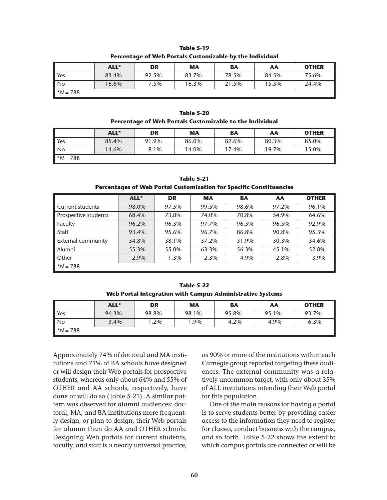| <b>Table 5-19</b>                                        |
|----------------------------------------------------------|
| Percentage of Web Portals Customizable by the Individual |

|                | ALL*  | <b>DR</b> | <b>MA</b> | BA    | AA    | <b>OTHER</b> |
|----------------|-------|-----------|-----------|-------|-------|--------------|
| $\mathsf{Yes}$ | 83.4% | 92.5%     | 83.7%     | 78.5% | 84.5% | 75.6%        |
| $\mathsf{N}$   | 16.6% | 7.5%      | 16.3%     | 21.5% | 15.5% | 24.4%        |
| $*N = 788$     |       |           |           |       |       |              |

**Table 5-20 Percentage of Web Portals Customizable to the Individual**

|                   | ALL*  | <b>DR</b> | МA    | BA    | АΑ    | <b>OTHER</b> |
|-------------------|-------|-----------|-------|-------|-------|--------------|
| <b>■</b> Yes      | 85.4% | 91.9%     | 86.0% | 82.6% | 80.3% | 85.0%        |
| $\mathsf{N}\circ$ | 14.6% | 8.1%      | 14.0% | 17.4% | 19.7% | 15.0%        |
| $^*N = 788$       |       |           |       |       |       |              |

**Table 5-21 Percentages of Web Portal Customization for Specific Constituencies**

|                      | ALL*  | <b>DR</b> | <b>MA</b> | <b>BA</b> | AA    | <b>OTHER</b> |  |
|----------------------|-------|-----------|-----------|-----------|-------|--------------|--|
| Current students     | 98.0% | 97.5%     | 99.5%     | 98.6%     | 97.2% | 96.1%        |  |
| Prospective students | 68.4% | 73.8%     | 74.0%     | 70.8%     | 54.9% | 64.6%        |  |
| Faculty              | 96.2% | 96.3%     | 97.7%     | 96.5%     | 96.5% | 92.9%        |  |
| Staff                | 93.4% | 95.6%     | 96.7%     | 86.8%     | 90.8% | 95.3%        |  |
| External community   | 34.8% | 38.1%     | 37.2%     | 31.9%     | 30.3% | 34.6%        |  |
| Alumni               | 55.3% | 55.0%     | 63.3%     | 56.3%     | 45.1% | 52.8%        |  |
| Other                | 2.9%  | 1.3%      | 2.3%      | 4.9%      | 2.8%  | 3.9%         |  |
| $N = 788$            |       |           |           |           |       |              |  |

**Table 5-22 Web Portal Integration with Campus Administrative Systems**

|                   | ALL*  | <b>DR</b> | МA    | BA    | AA    | <b>OTHER</b> |
|-------------------|-------|-----------|-------|-------|-------|--------------|
| <b>I</b> Yes      | 96.3% | 98.8%     | 98.1% | 95.8% | 95.1% | 93.7%        |
| $\blacksquare$ No | 3.4%  | .2%       | 1.9%  | 4.2%  | 4.9%  | 6.3%         |
| $^*N = 788$       |       |           |       |       |       |              |

Approximately 74% of doctoral and MA institutions and 71% of BA schools have designed or will design their Web portals for prospective students, whereas only about 64% and 55% of OTHER and AA schools, respectively, have done or will do so (Table 5-21). A similar pattern was observed for alumni audiences: doctoral, MA, and BA institutions more frequently design, or plan to design, their Web portals for alumni than do AA and OTHER schools. Designing Web portals for current students, faculty, and staff is a nearly universal practice,

as 90% or more of the institutions within each Carnegie group reported targeting these audiences. The external community was a relatively uncommon target, with only about 35% of ALL institutions intending their Web portal for this population.

One of the main reasons for having a portal is to serve students better by providing easier access to the information they need to register for classes, conduct business with the campus, and so forth. Table 5-22 shows the extent to which campus portals are connected or will be